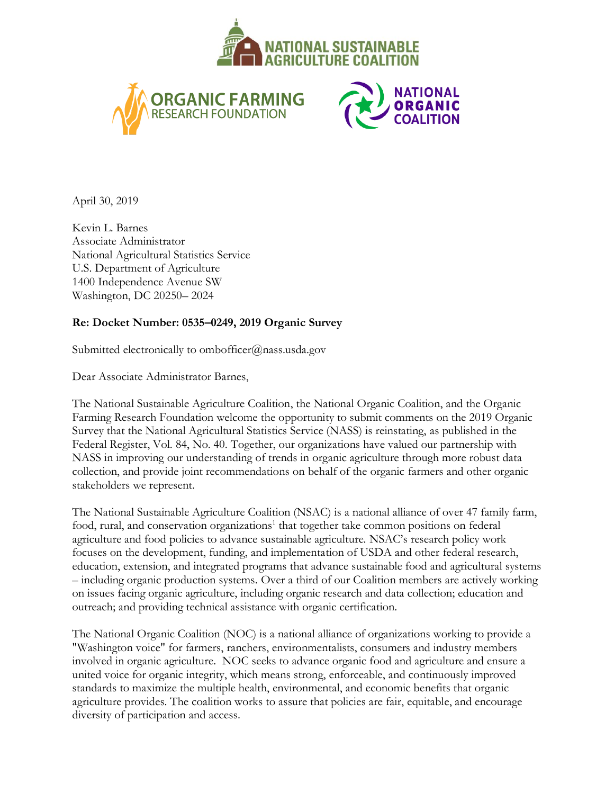





April 30, 2019

Kevin L. Barnes Associate Administrator National Agricultural Statistics Service U.S. Department of Agriculture 1400 Independence Avenue SW Washington, DC 20250– 2024

## **Re: Docket Number: 0535–0249, 2019 Organic Survey**

Submitted electronically to ombofficer@nass.usda.gov

Dear Associate Administrator Barnes,

The National Sustainable Agriculture Coalition, the National Organic Coalition, and the Organic Farming Research Foundation welcome the opportunity to submit comments on the 2019 Organic Survey that the National Agricultural Statistics Service (NASS) is reinstating, as published in the Federal Register, Vol. 84, No. 40. Together, our organizations have valued our partnership with NASS in improving our understanding of trends in organic agriculture through more robust data collection, and provide joint recommendations on behalf of the organic farmers and other organic stakeholders we represent.

The National Sustainable Agriculture Coalition (NSAC) is a national alliance of over 47 family farm, food, rural, and conservation organizations<sup>1</sup> that together take common positions on federal agriculture and food policies to advance sustainable agriculture. NSAC's research policy work focuses on the development, funding, and implementation of USDA and other federal research, education, extension, and integrated programs that advance sustainable food and agricultural systems – including organic production systems. Over a third of our Coalition members are actively working on issues facing organic agriculture, including organic research and data collection; education and outreach; and providing technical assistance with organic certification.

The National Organic Coalition (NOC) is a national alliance of organizations working to provide a "Washington voice" for farmers, ranchers, environmentalists, consumers and industry members involved in organic agriculture. NOC seeks to advance organic food and agriculture and ensure a united voice for organic integrity, which means strong, enforceable, and continuously improved standards to maximize the multiple health, environmental, and economic benefits that organic agriculture provides. The coalition works to assure that policies are fair, equitable, and encourage diversity of participation and access.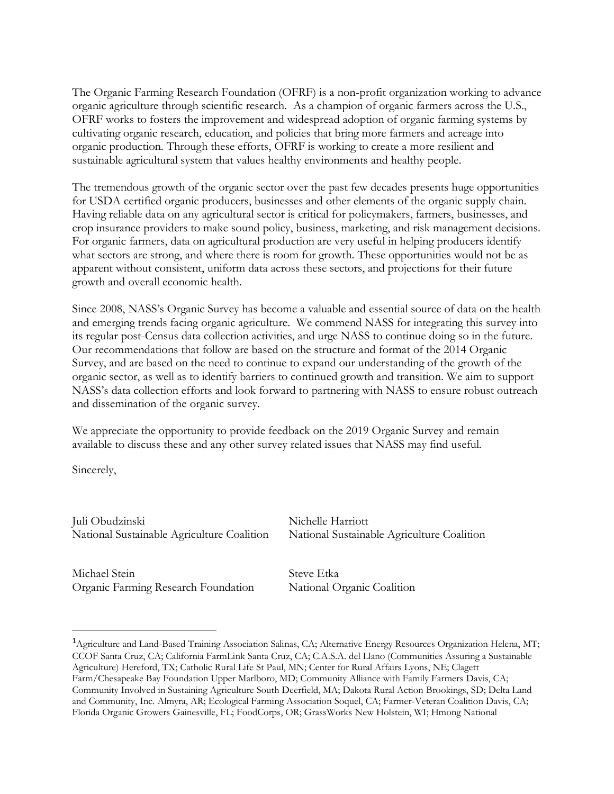The Organic Farming Research Foundation (OFRF) is a non-profit organization working to advance organic agriculture through scientific research. As a champion of organic farmers across the U.S., OFRF works to fosters the improvement and widespread adoption of organic farming systems by cultivating organic research, education, and policies that bring more farmers and acreage into organic production. Through these efforts, OFRF is working to create a more resilient and sustainable agricultural system that values healthy environments and healthy people.

The tremendous growth of the organic sector over the past few decades presents huge opportunities for USDA certified organic producers, businesses and other elements of the organic supply chain. Having reliable data on any agricultural sector is critical for policymakers, farmers, businesses, and crop insurance providers to make sound policy, business, marketing, and risk management decisions. For organic farmers, data on agricultural production are very useful in helping producers identify what sectors are strong, and where there is room for growth. These opportunities would not be as apparent without consistent, uniform data across these sectors, and projections for their future growth and overall economic health.

Since 2008, NASS's Organic Survey has become a valuable and essential source of data on the health and emerging trends facing organic agriculture. We commend NASS for integrating this survey into its regular post-Census data collection activities, and urge NASS to continue doing so in the future. Our recommendations that follow are based on the structure and format of the 2014 Organic Survey, and are based on the need to continue to expand our understanding of the growth of the organic sector, as well as to identify barriers to continued growth and transition. We aim to support NASS's data collection efforts and look forward to partnering with NASS to ensure robust outreach and dissemination of the organic survey.

We appreciate the opportunity to provide feedback on the 2019 Organic Survey and remain available to discuss these and any other survey related issues that NASS may find useful.

Sincerely,

 $\overline{a}$ 

Juli Obudzinski Nichelle Harriott National Sustainable Agriculture Coalition National Sustainable Agriculture Coalition

Michael Stein Steve Etka Organic Farming Research Foundation National Organic Coalition

<sup>&</sup>lt;sup>1</sup>Agriculture and Land-Based Training Association Salinas, CA; Alternative Energy Resources Organization Helena, MT; CCOF Santa Cruz, CA; California FarmLink Santa Cruz, CA; C.A.S.A. del Llano (Communities Assuring a Sustainable Agriculture) Hereford, TX; Catholic Rural Life St Paul, MN; Center for Rural Affairs Lyons, NE; Clagett Farm/Chesapeake Bay Foundation Upper Marlboro, MD; Community Alliance with Family Farmers Davis, CA; Community Involved in Sustaining Agriculture South Deerfield, MA; Dakota Rural Action Brookings, SD; Delta Land and Community, Inc. Almyra, AR; Ecological Farming Association Soquel, CA; Farmer-Veteran Coalition Davis, CA; Florida Organic Growers Gainesville, FL; FoodCorps, OR; GrassWorks New Holstein, WI; Hmong National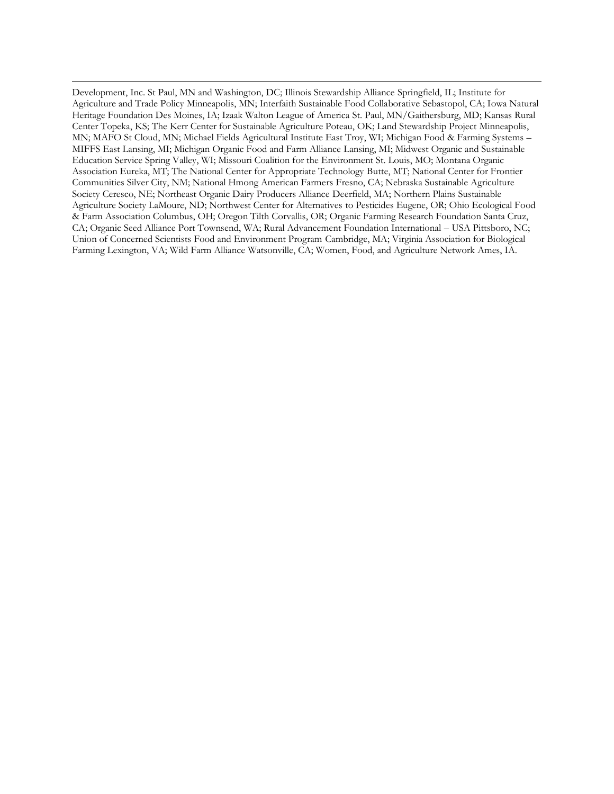Development, Inc. St Paul, MN and Washington, DC; Illinois Stewardship Alliance Springfield, IL; Institute for Agriculture and Trade Policy Minneapolis, MN; Interfaith Sustainable Food Collaborative Sebastopol, CA; Iowa Natural Heritage Foundation Des Moines, IA; Izaak Walton League of America St. Paul, MN/Gaithersburg, MD; Kansas Rural Center Topeka, KS; The Kerr Center for Sustainable Agriculture Poteau, OK; Land Stewardship Project Minneapolis, MN; MAFO St Cloud, MN; Michael Fields Agricultural Institute East Troy, WI; Michigan Food & Farming Systems – MIFFS East Lansing, MI; Michigan Organic Food and Farm Alliance Lansing, MI; Midwest Organic and Sustainable Education Service Spring Valley, WI; Missouri Coalition for the Environment St. Louis, MO; Montana Organic Association Eureka, MT; The National Center for Appropriate Technology Butte, MT; National Center for Frontier Communities Silver City, NM; National Hmong American Farmers Fresno, CA; Nebraska Sustainable Agriculture Society Ceresco, NE; Northeast Organic Dairy Producers Alliance Deerfield, MA; Northern Plains Sustainable Agriculture Society LaMoure, ND; Northwest Center for Alternatives to Pesticides Eugene, OR; Ohio Ecological Food & Farm Association Columbus, OH; Oregon Tilth Corvallis, OR; Organic Farming Research Foundation Santa Cruz, CA; Organic Seed Alliance Port Townsend, WA; Rural Advancement Foundation International – USA Pittsboro, NC; Union of Concerned Scientists Food and Environment Program Cambridge, MA; Virginia Association for Biological Farming Lexington, VA; Wild Farm Alliance Watsonville, CA; Women, Food, and Agriculture Network Ames, IA.

 $\overline{a}$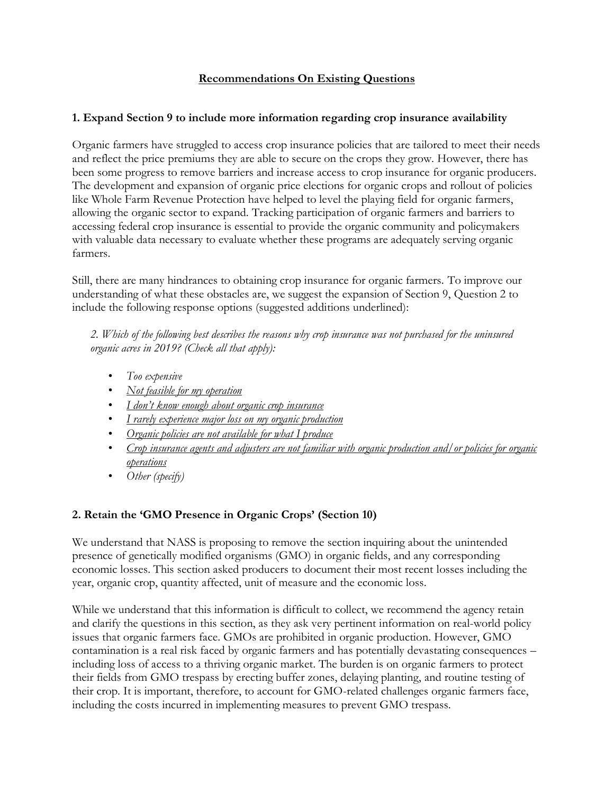### **Recommendations On Existing Questions**

#### **1. Expand Section 9 to include more information regarding crop insurance availability**

Organic farmers have struggled to access crop insurance policies that are tailored to meet their needs and reflect the price premiums they are able to secure on the crops they grow. However, there has been some progress to remove barriers and increase access to crop insurance for organic producers. The development and expansion of organic price elections for organic crops and rollout of policies like Whole Farm Revenue Protection have helped to level the playing field for organic farmers, allowing the organic sector to expand. Tracking participation of organic farmers and barriers to accessing federal crop insurance is essential to provide the organic community and policymakers with valuable data necessary to evaluate whether these programs are adequately serving organic farmers.

Still, there are many hindrances to obtaining crop insurance for organic farmers. To improve our understanding of what these obstacles are, we suggest the expansion of Section 9, Question 2 to include the following response options (suggested additions underlined):

*2. Which of the following best describes the reasons why crop insurance was not purchased for the uninsured organic acres in 2019? (Check all that apply):*

- *Too expensive*
- *Not feasible for my operation*
- *I don't know enough about organic crop insurance*
- *I rarely experience major loss on my organic production*
- *Organic policies are not available for what I produce*
- *Crop insurance agents and adjusters are not familiar with organic production and/or policies for organic operations*
- *Other (specify)*

## **2. Retain the 'GMO Presence in Organic Crops' (Section 10)**

We understand that NASS is proposing to remove the section inquiring about the unintended presence of genetically modified organisms (GMO) in organic fields, and any corresponding economic losses. This section asked producers to document their most recent losses including the year, organic crop, quantity affected, unit of measure and the economic loss.

While we understand that this information is difficult to collect, we recommend the agency retain and clarify the questions in this section, as they ask very pertinent information on real-world policy issues that organic farmers face. GMOs are prohibited in organic production. However, GMO contamination is a real risk faced by organic farmers and has potentially devastating consequences – including loss of access to a thriving organic market. The burden is on organic farmers to protect their fields from GMO trespass by erecting buffer zones, delaying planting, and routine testing of their crop. It is important, therefore, to account for GMO-related challenges organic farmers face, including the costs incurred in implementing measures to prevent GMO trespass.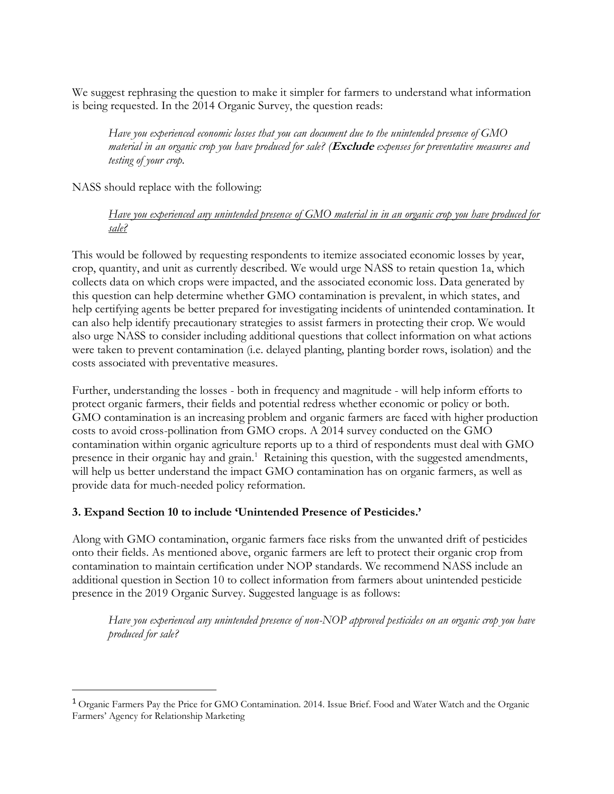We suggest rephrasing the question to make it simpler for farmers to understand what information is being requested. In the 2014 Organic Survey, the question reads:

*Have you experienced economic losses that you can document due to the unintended presence of GMO material in an organic crop you have produced for sale? (***Exclude** *expenses for preventative measures and testing of your crop.*

NASS should replace with the following:

 $\overline{a}$ 

*Have you experienced any unintended presence of GMO material in in an organic crop you have produced for sale?*

This would be followed by requesting respondents to itemize associated economic losses by year, crop, quantity, and unit as currently described. We would urge NASS to retain question 1a, which collects data on which crops were impacted, and the associated economic loss. Data generated by this question can help determine whether GMO contamination is prevalent, in which states, and help certifying agents be better prepared for investigating incidents of unintended contamination. It can also help identify precautionary strategies to assist farmers in protecting their crop. We would also urge NASS to consider including additional questions that collect information on what actions were taken to prevent contamination (i.e. delayed planting, planting border rows, isolation) and the costs associated with preventative measures.

Further, understanding the losses - both in frequency and magnitude - will help inform efforts to protect organic farmers, their fields and potential redress whether economic or policy or both. GMO contamination is an increasing problem and organic farmers are faced with higher production costs to avoid cross-pollination from GMO crops. A 2014 survey conducted on the GMO contamination within organic agriculture reports up to a third of respondents must deal with GMO presence in their organic hay and grain.<sup>1</sup> Retaining this question, with the suggested amendments, will help us better understand the impact GMO contamination has on organic farmers, as well as provide data for much-needed policy reformation.

#### **3. Expand Section 10 to include 'Unintended Presence of Pesticides.'**

Along with GMO contamination, organic farmers face risks from the unwanted drift of pesticides onto their fields. As mentioned above, organic farmers are left to protect their organic crop from contamination to maintain certification under NOP standards. We recommend NASS include an additional question in Section 10 to collect information from farmers about unintended pesticide presence in the 2019 Organic Survey. Suggested language is as follows:

*Have you experienced any unintended presence of non-NOP approved pesticides on an organic crop you have produced for sale?*

<sup>1</sup> Organic Farmers Pay the Price for GMO Contamination. 2014. Issue Brief. Food and Water Watch and the Organic Farmers' Agency for Relationship Marketing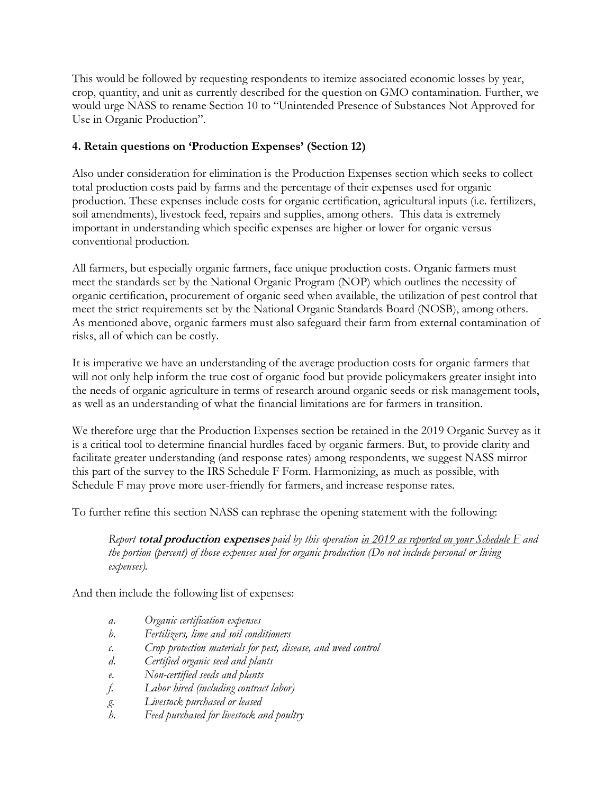This would be followed by requesting respondents to itemize associated economic losses by year, crop, quantity, and unit as currently described for the question on GMO contamination. Further, we would urge NASS to rename Section 10 to "Unintended Presence of Substances Not Approved for Use in Organic Production".

# **4. Retain questions on 'Production Expenses' (Section 12)**

Also under consideration for elimination is the Production Expenses section which seeks to collect total production costs paid by farms and the percentage of their expenses used for organic production. These expenses include costs for organic certification, agricultural inputs (i.e. fertilizers, soil amendments), livestock feed, repairs and supplies, among others. This data is extremely important in understanding which specific expenses are higher or lower for organic versus conventional production.

All farmers, but especially organic farmers, face unique production costs. Organic farmers must meet the standards set by the National Organic Program (NOP) which outlines the necessity of organic certification, procurement of organic seed when available, the utilization of pest control that meet the strict requirements set by the National Organic Standards Board (NOSB), among others. As mentioned above, organic farmers must also safeguard their farm from external contamination of risks, all of which can be costly.

It is imperative we have an understanding of the average production costs for organic farmers that will not only help inform the true cost of organic food but provide policymakers greater insight into the needs of organic agriculture in terms of research around organic seeds or risk management tools, as well as an understanding of what the financial limitations are for farmers in transition.

We therefore urge that the Production Expenses section be retained in the 2019 Organic Survey as it is a critical tool to determine financial hurdles faced by organic farmers. But, to provide clarity and facilitate greater understanding (and response rates) among respondents, we suggest NASS mirror this part of the survey to the IRS Schedule F Form. Harmonizing, as much as possible, with Schedule F may prove more user-friendly for farmers, and increase response rates.

To further refine this section NASS can rephrase the opening statement with the following:

*Report* **total production expenses** *paid by this operation in 2019 as reported on your Schedule F and the portion (percent) of those expenses used for organic production (Do not include personal or living expenses).*

And then include the following list of expenses:

- *a. Organic certification expenses*
- *b. Fertilizers, lime and soil conditioners*
- *c. Crop protection materials for pest, disease, and weed control*
- *d. Certified organic seed and plants*
- *e. Non-certified seeds and plants*
- *f. Labor hired (including contract labor)*
- *g. Livestock purchased or leased*
- *h. Feed purchased for livestock and poultry*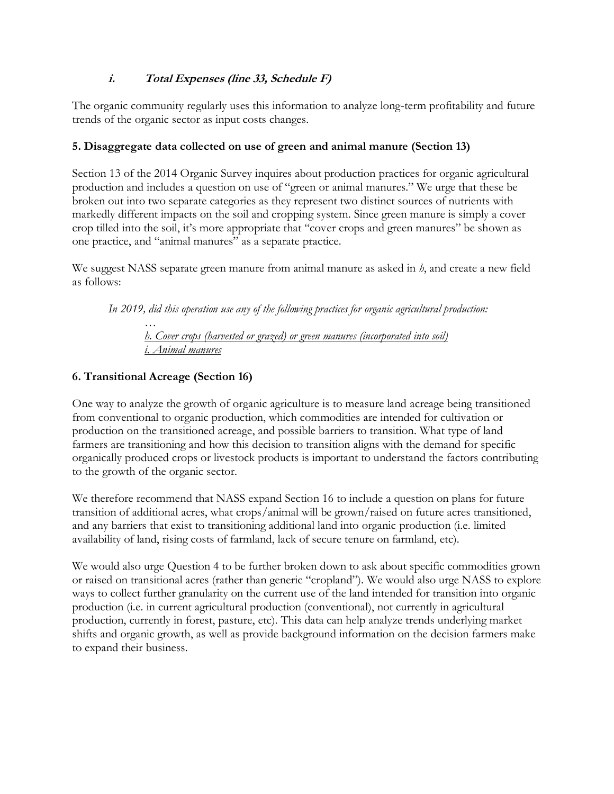# **i.****Total Expenses (line 33, Schedule F)**

The organic community regularly uses this information to analyze long-term profitability and future trends of the organic sector as input costs changes.

# **5. Disaggregate data collected on use of green and animal manure (Section 13)**

Section 13 of the 2014 Organic Survey inquires about production practices for organic agricultural production and includes a question on use of "green or animal manures." We urge that these be broken out into two separate categories as they represent two distinct sources of nutrients with markedly different impacts on the soil and cropping system. Since green manure is simply a cover crop tilled into the soil, it's more appropriate that "cover crops and green manures" be shown as one practice, and "animal manures" as a separate practice.

We suggest NASS separate green manure from animal manure as asked in *h*, and create a new field as follows:

*In 2019, did this operation use any of the following practices for organic agricultural production:*

*… h. Cover crops (harvested or grazed) or green manures (incorporated into soil) i. Animal manures*

# **6. Transitional Acreage (Section 16)**

One way to analyze the growth of organic agriculture is to measure land acreage being transitioned from conventional to organic production, which commodities are intended for cultivation or production on the transitioned acreage, and possible barriers to transition. What type of land farmers are transitioning and how this decision to transition aligns with the demand for specific organically produced crops or livestock products is important to understand the factors contributing to the growth of the organic sector.

We therefore recommend that NASS expand Section 16 to include a question on plans for future transition of additional acres, what crops/animal will be grown/raised on future acres transitioned, and any barriers that exist to transitioning additional land into organic production (i.e. limited availability of land, rising costs of farmland, lack of secure tenure on farmland, etc).

We would also urge Question 4 to be further broken down to ask about specific commodities grown or raised on transitional acres (rather than generic "cropland"). We would also urge NASS to explore ways to collect further granularity on the current use of the land intended for transition into organic production (i.e. in current agricultural production (conventional), not currently in agricultural production, currently in forest, pasture, etc). This data can help analyze trends underlying market shifts and organic growth, as well as provide background information on the decision farmers make to expand their business.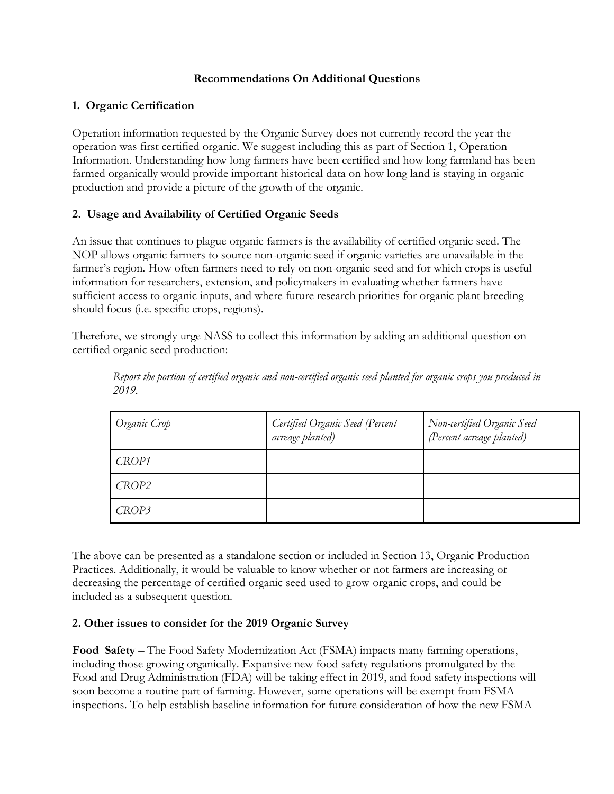### **Recommendations On Additional Questions**

### **1. Organic Certification**

Operation information requested by the Organic Survey does not currently record the year the operation was first certified organic. We suggest including this as part of Section 1, Operation Information. Understanding how long farmers have been certified and how long farmland has been farmed organically would provide important historical data on how long land is staying in organic production and provide a picture of the growth of the organic.

## **2. Usage and Availability of Certified Organic Seeds**

An issue that continues to plague organic farmers is the availability of certified organic seed. The NOP allows organic farmers to source non-organic seed if organic varieties are unavailable in the farmer's region. How often farmers need to rely on non-organic seed and for which crops is useful information for researchers, extension, and policymakers in evaluating whether farmers have sufficient access to organic inputs, and where future research priorities for organic plant breeding should focus (i.e. specific crops, regions).

Therefore, we strongly urge NASS to collect this information by adding an additional question on certified organic seed production:

| Organic Crop | Certified Organic Seed (Percent<br>acreage planted) | Non-certified Organic Seed<br>(Percent acreage planted) |
|--------------|-----------------------------------------------------|---------------------------------------------------------|
| CROP1        |                                                     |                                                         |
| CROP2        |                                                     |                                                         |
| CROP3        |                                                     |                                                         |

*Report the portion of certified organic and non-certified organic seed planted for organic crops you produced in 2019.*

The above can be presented as a standalone section or included in Section 13, Organic Production Practices. Additionally, it would be valuable to know whether or not farmers are increasing or decreasing the percentage of certified organic seed used to grow organic crops, and could be included as a subsequent question.

## **2. Other issues to consider for the 2019 Organic Survey**

**Food Safety** – The Food Safety Modernization Act (FSMA) impacts many farming operations, including those growing organically. Expansive new food safety regulations promulgated by the Food and Drug Administration (FDA) will be taking effect in 2019, and food safety inspections will soon become a routine part of farming. However, some operations will be exempt from FSMA inspections. To help establish baseline information for future consideration of how the new FSMA